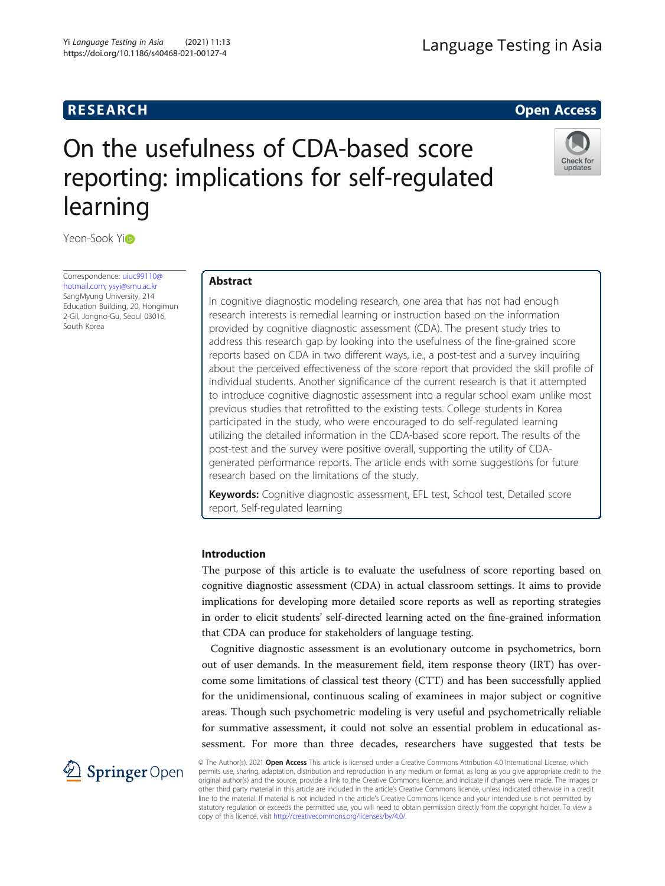# **RESEARCH RESEARCH** *CHECKER CHECKER CHECKER CHECKER CHECKER CHECKER CHECKER CHECKER CHECKER CHECKER CHECKER*

Check for update

# On the usefulness of CDA-based score reporting: implications for self-regulated learning

Yeon-Sook Yio

Correspondence: [uiuc99110@](mailto:uiuc99110@hotmail.com) [hotmail.com](mailto:uiuc99110@hotmail.com); [ysyi@smu.ac.kr](mailto:ysyi@smu.ac.kr) SangMyung University, 214 Education Building, 20, Hongimun 2-Gil, Jongno-Gu, Seoul 03016, South Korea

# Abstract

In cognitive diagnostic modeling research, one area that has not had enough research interests is remedial learning or instruction based on the information provided by cognitive diagnostic assessment (CDA). The present study tries to address this research gap by looking into the usefulness of the fine-grained score reports based on CDA in two different ways, i.e., a post-test and a survey inquiring about the perceived effectiveness of the score report that provided the skill profile of individual students. Another significance of the current research is that it attempted to introduce cognitive diagnostic assessment into a regular school exam unlike most previous studies that retrofitted to the existing tests. College students in Korea participated in the study, who were encouraged to do self-regulated learning utilizing the detailed information in the CDA-based score report. The results of the post-test and the survey were positive overall, supporting the utility of CDAgenerated performance reports. The article ends with some suggestions for future research based on the limitations of the study.

Keywords: Cognitive diagnostic assessment, EFL test, School test, Detailed score report, Self-regulated learning

# Introduction

The purpose of this article is to evaluate the usefulness of score reporting based on cognitive diagnostic assessment (CDA) in actual classroom settings. It aims to provide implications for developing more detailed score reports as well as reporting strategies in order to elicit students' self-directed learning acted on the fine-grained information that CDA can produce for stakeholders of language testing.

Cognitive diagnostic assessment is an evolutionary outcome in psychometrics, born out of user demands. In the measurement field, item response theory (IRT) has overcome some limitations of classical test theory (CTT) and has been successfully applied for the unidimensional, continuous scaling of examinees in major subject or cognitive areas. Though such psychometric modeling is very useful and psychometrically reliable for summative assessment, it could not solve an essential problem in educational assessment. For more than three decades, researchers have suggested that tests be

 $\mathscr{L}$  Springer Open

© The Author(s). 2021 Open Access This article is licensed under a Creative Commons Attribution 4.0 International License, which permits use, sharing, adaptation, distribution and reproduction in any medium or format, as long as you give appropriate credit to the original author(s) and the source, provide a link to the Creative Commons licence, and indicate if changes were made. The images or other third party material in this article are included in the article's Creative Commons licence, unless indicated otherwise in a credit line to the material. If material is not included in the article's Creative Commons licence and your intended use is not permitted by statutory regulation or exceeds the permitted use, you will need to obtain permission directly from the copyright holder. To view a copy of this licence, visit <http://creativecommons.org/licenses/by/4.0/>.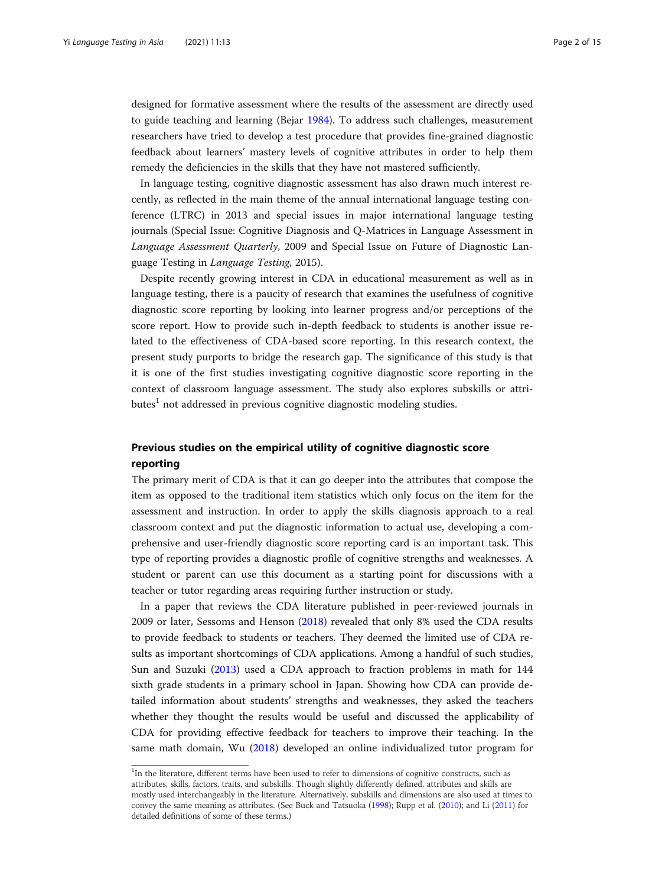designed for formative assessment where the results of the assessment are directly used to guide teaching and learning (Bejar [1984\)](#page-13-0). To address such challenges, measurement researchers have tried to develop a test procedure that provides fine-grained diagnostic feedback about learners' mastery levels of cognitive attributes in order to help them remedy the deficiencies in the skills that they have not mastered sufficiently.

In language testing, cognitive diagnostic assessment has also drawn much interest recently, as reflected in the main theme of the annual international language testing conference (LTRC) in 2013 and special issues in major international language testing journals (Special Issue: Cognitive Diagnosis and Q-Matrices in Language Assessment in Language Assessment Quarterly, 2009 and Special Issue on Future of Diagnostic Language Testing in Language Testing, 2015).

Despite recently growing interest in CDA in educational measurement as well as in language testing, there is a paucity of research that examines the usefulness of cognitive diagnostic score reporting by looking into learner progress and/or perceptions of the score report. How to provide such in-depth feedback to students is another issue related to the effectiveness of CDA-based score reporting. In this research context, the present study purports to bridge the research gap. The significance of this study is that it is one of the first studies investigating cognitive diagnostic score reporting in the context of classroom language assessment. The study also explores subskills or attri $butes<sup>1</sup>$  not addressed in previous cognitive diagnostic modeling studies.

# Previous studies on the empirical utility of cognitive diagnostic score reporting

The primary merit of CDA is that it can go deeper into the attributes that compose the item as opposed to the traditional item statistics which only focus on the item for the assessment and instruction. In order to apply the skills diagnosis approach to a real classroom context and put the diagnostic information to actual use, developing a comprehensive and user-friendly diagnostic score reporting card is an important task. This type of reporting provides a diagnostic profile of cognitive strengths and weaknesses. A student or parent can use this document as a starting point for discussions with a teacher or tutor regarding areas requiring further instruction or study.

In a paper that reviews the CDA literature published in peer-reviewed journals in 2009 or later, Sessoms and Henson [\(2018\)](#page-14-0) revealed that only 8% used the CDA results to provide feedback to students or teachers. They deemed the limited use of CDA results as important shortcomings of CDA applications. Among a handful of such studies, Sun and Suzuki [\(2013\)](#page-14-0) used a CDA approach to fraction problems in math for 144 sixth grade students in a primary school in Japan. Showing how CDA can provide detailed information about students' strengths and weaknesses, they asked the teachers whether they thought the results would be useful and discussed the applicability of CDA for providing effective feedback for teachers to improve their teaching. In the same math domain, Wu ([2018](#page-14-0)) developed an online individualized tutor program for

<sup>&</sup>lt;sup>1</sup>In the literature, different terms have been used to refer to dimensions of cognitive constructs, such as attributes, skills, factors, traits, and subskills. Though slightly differently defined, attributes and skills are mostly used interchangeably in the literature. Alternatively, subskills and dimensions are also used at times to convey the same meaning as attributes. (See Buck and Tatsuoka ([1998](#page-13-0)); Rupp et al. [\(2010\)](#page-14-0); and Li [\(2011](#page-14-0)) for detailed definitions of some of these terms.)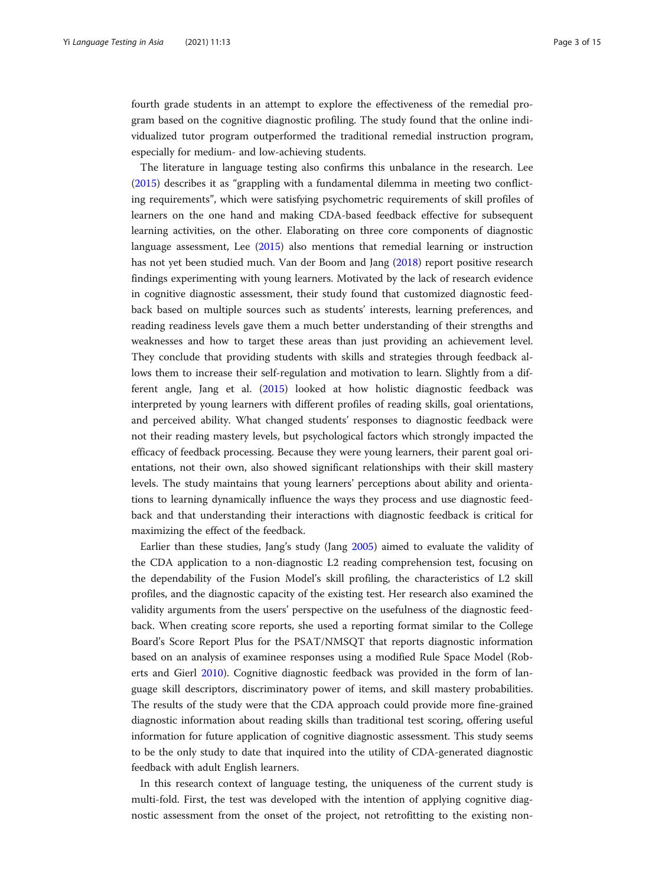fourth grade students in an attempt to explore the effectiveness of the remedial program based on the cognitive diagnostic profiling. The study found that the online individualized tutor program outperformed the traditional remedial instruction program, especially for medium- and low-achieving students.

The literature in language testing also confirms this unbalance in the research. Lee ([2015](#page-14-0)) describes it as "grappling with a fundamental dilemma in meeting two conflicting requirements", which were satisfying psychometric requirements of skill profiles of learners on the one hand and making CDA-based feedback effective for subsequent learning activities, on the other. Elaborating on three core components of diagnostic language assessment, Lee ([2015](#page-14-0)) also mentions that remedial learning or instruction has not yet been studied much. Van der Boom and Jang ([2018\)](#page-14-0) report positive research findings experimenting with young learners. Motivated by the lack of research evidence in cognitive diagnostic assessment, their study found that customized diagnostic feedback based on multiple sources such as students' interests, learning preferences, and reading readiness levels gave them a much better understanding of their strengths and weaknesses and how to target these areas than just providing an achievement level. They conclude that providing students with skills and strategies through feedback allows them to increase their self-regulation and motivation to learn. Slightly from a different angle, Jang et al. [\(2015](#page-14-0)) looked at how holistic diagnostic feedback was interpreted by young learners with different profiles of reading skills, goal orientations, and perceived ability. What changed students' responses to diagnostic feedback were not their reading mastery levels, but psychological factors which strongly impacted the efficacy of feedback processing. Because they were young learners, their parent goal orientations, not their own, also showed significant relationships with their skill mastery levels. The study maintains that young learners' perceptions about ability and orientations to learning dynamically influence the ways they process and use diagnostic feedback and that understanding their interactions with diagnostic feedback is critical for maximizing the effect of the feedback.

Earlier than these studies, Jang's study (Jang [2005\)](#page-13-0) aimed to evaluate the validity of the CDA application to a non-diagnostic L2 reading comprehension test, focusing on the dependability of the Fusion Model's skill profiling, the characteristics of L2 skill profiles, and the diagnostic capacity of the existing test. Her research also examined the validity arguments from the users' perspective on the usefulness of the diagnostic feedback. When creating score reports, she used a reporting format similar to the College Board's Score Report Plus for the PSAT/NMSQT that reports diagnostic information based on an analysis of examinee responses using a modified Rule Space Model (Roberts and Gierl [2010](#page-14-0)). Cognitive diagnostic feedback was provided in the form of language skill descriptors, discriminatory power of items, and skill mastery probabilities. The results of the study were that the CDA approach could provide more fine-grained diagnostic information about reading skills than traditional test scoring, offering useful information for future application of cognitive diagnostic assessment. This study seems to be the only study to date that inquired into the utility of CDA-generated diagnostic feedback with adult English learners.

In this research context of language testing, the uniqueness of the current study is multi-fold. First, the test was developed with the intention of applying cognitive diagnostic assessment from the onset of the project, not retrofitting to the existing non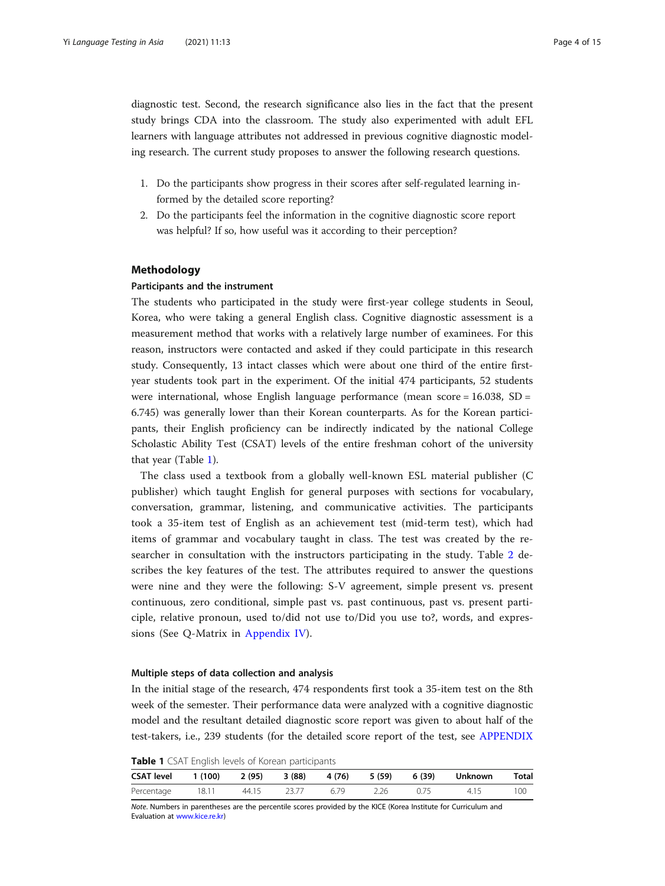diagnostic test. Second, the research significance also lies in the fact that the present study brings CDA into the classroom. The study also experimented with adult EFL learners with language attributes not addressed in previous cognitive diagnostic modeling research. The current study proposes to answer the following research questions.

- 1. Do the participants show progress in their scores after self-regulated learning informed by the detailed score reporting?
- 2. Do the participants feel the information in the cognitive diagnostic score report was helpful? If so, how useful was it according to their perception?

### Methodology

#### Participants and the instrument

The students who participated in the study were first-year college students in Seoul, Korea, who were taking a general English class. Cognitive diagnostic assessment is a measurement method that works with a relatively large number of examinees. For this reason, instructors were contacted and asked if they could participate in this research study. Consequently, 13 intact classes which were about one third of the entire firstyear students took part in the experiment. Of the initial 474 participants, 52 students were international, whose English language performance (mean score  $= 16.038$ , SD  $=$ 6.745) was generally lower than their Korean counterparts. As for the Korean participants, their English proficiency can be indirectly indicated by the national College Scholastic Ability Test (CSAT) levels of the entire freshman cohort of the university that year (Table 1).

The class used a textbook from a globally well-known ESL material publisher (C publisher) which taught English for general purposes with sections for vocabulary, conversation, grammar, listening, and communicative activities. The participants took a 35-item test of English as an achievement test (mid-term test), which had items of grammar and vocabulary taught in class. The test was created by the researcher in consultation with the instructors participating in the study. Table [2](#page-4-0) describes the key features of the test. The attributes required to answer the questions were nine and they were the following: S-V agreement, simple present vs. present continuous, zero conditional, simple past vs. past continuous, past vs. present participle, relative pronoun, used to/did not use to/Did you use to?, words, and expressions (See Q-Matrix in [Appendix IV](#page-13-0)).

# Multiple steps of data collection and analysis

In the initial stage of the research, 474 respondents first took a 35-item test on the 8th week of the semester. Their performance data were analyzed with a cognitive diagnostic model and the resultant detailed diagnostic score report was given to about half of the test-takers, i.e., 239 students (for the detailed score report of the test, see [APPENDIX](#page-13-0)

Table 1 CSAT English levels of Korean participants

| <b>CSAT level</b> | 1 (100) 2 (95) 3 (88) 4 (76) 5 (59) 6 (39) |             |      |      |      | Unknown | <b>Total</b> |
|-------------------|--------------------------------------------|-------------|------|------|------|---------|--------------|
| Percentage        | 18.11                                      | 44.15 23.77 | 6.79 | 2.26 | 0.75 | 4.15    | 100          |

Note. Numbers in parentheses are the percentile scores provided by the KICE (Korea Institute for Curriculum and Evaluation at [www.kice.re.kr](http://www.kice.re.kr))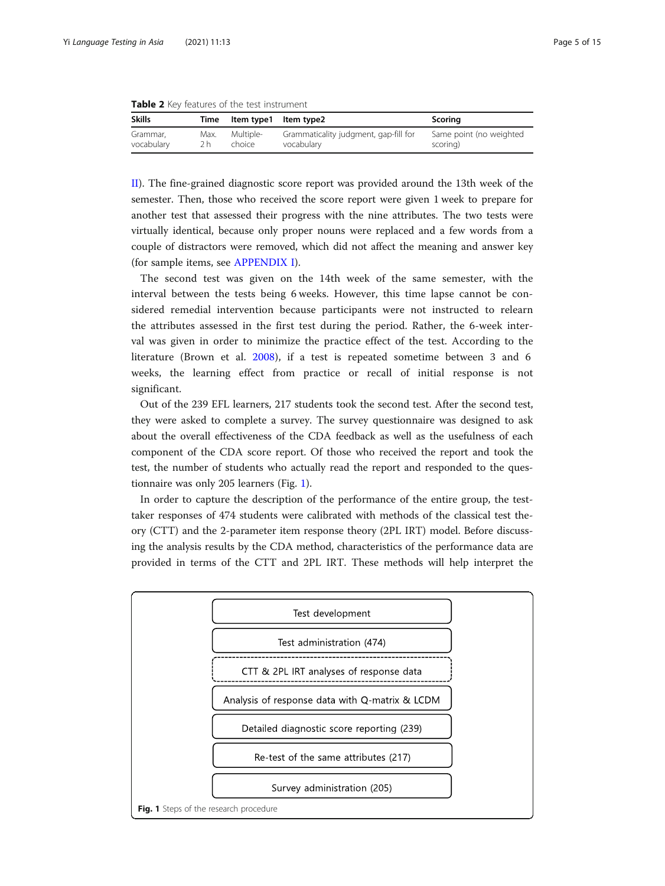<span id="page-4-0"></span>Table 2 Key features of the test instrument

| <b>Skills</b> |      | Time Item type1 Item type2 |                                       | Scoring                 |
|---------------|------|----------------------------|---------------------------------------|-------------------------|
| Grammar,      | Max. | Multiple-                  | Grammaticality judgment, gap-fill for | Same point (no weighted |
| vocabulary    | 2 h  | choice                     | vocabulary                            | scoring)                |

[II](#page-13-0)). The fine-grained diagnostic score report was provided around the 13th week of the semester. Then, those who received the score report were given 1 week to prepare for another test that assessed their progress with the nine attributes. The two tests were virtually identical, because only proper nouns were replaced and a few words from a couple of distractors were removed, which did not affect the meaning and answer key (for sample items, see [APPENDIX I\)](#page-13-0).

The second test was given on the 14th week of the same semester, with the interval between the tests being 6 weeks. However, this time lapse cannot be considered remedial intervention because participants were not instructed to relearn the attributes assessed in the first test during the period. Rather, the 6-week interval was given in order to minimize the practice effect of the test. According to the literature (Brown et al. [2008](#page-13-0)), if a test is repeated sometime between 3 and 6 weeks, the learning effect from practice or recall of initial response is not significant.

Out of the 239 EFL learners, 217 students took the second test. After the second test, they were asked to complete a survey. The survey questionnaire was designed to ask about the overall effectiveness of the CDA feedback as well as the usefulness of each component of the CDA score report. Of those who received the report and took the test, the number of students who actually read the report and responded to the questionnaire was only 205 learners (Fig. 1).

In order to capture the description of the performance of the entire group, the testtaker responses of 474 students were calibrated with methods of the classical test theory (CTT) and the 2-parameter item response theory (2PL IRT) model. Before discussing the analysis results by the CDA method, characteristics of the performance data are provided in terms of the CTT and 2PL IRT. These methods will help interpret the

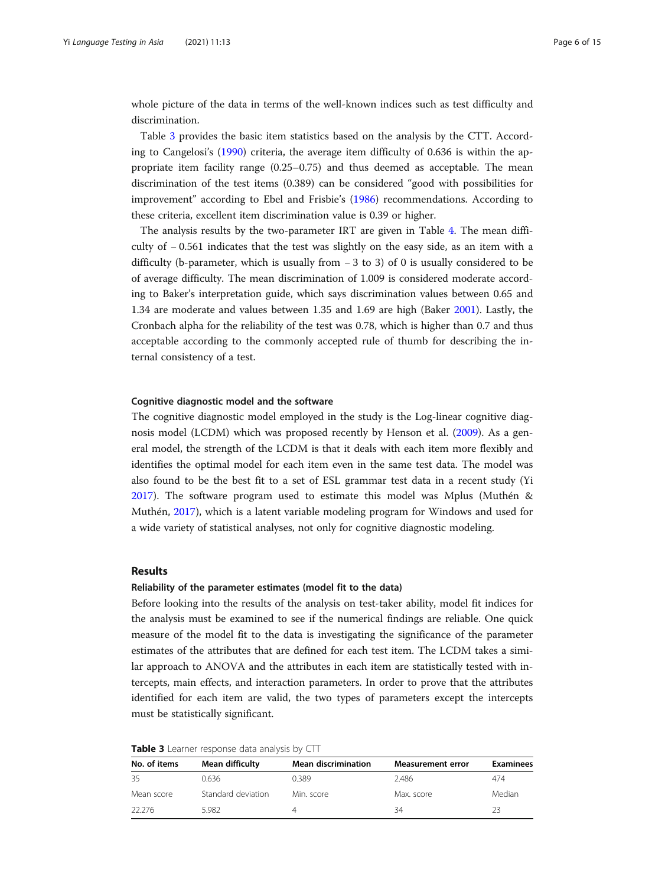whole picture of the data in terms of the well-known indices such as test difficulty and discrimination.

Table 3 provides the basic item statistics based on the analysis by the CTT. According to Cangelosi's [\(1990\)](#page-13-0) criteria, the average item difficulty of 0.636 is within the appropriate item facility range (0.25–0.75) and thus deemed as acceptable. The mean discrimination of the test items (0.389) can be considered "good with possibilities for improvement" according to Ebel and Frisbie's ([1986](#page-13-0)) recommendations. According to these criteria, excellent item discrimination value is 0.39 or higher.

The analysis results by the two-parameter IRT are given in Table [4.](#page-6-0) The mean difficulty of − 0.561 indicates that the test was slightly on the easy side, as an item with a difficulty (b-parameter, which is usually from − 3 to 3) of 0 is usually considered to be of average difficulty. The mean discrimination of 1.009 is considered moderate according to Baker's interpretation guide, which says discrimination values between 0.65 and 1.34 are moderate and values between 1.35 and 1.69 are high (Baker [2001](#page-13-0)). Lastly, the Cronbach alpha for the reliability of the test was 0.78, which is higher than 0.7 and thus acceptable according to the commonly accepted rule of thumb for describing the internal consistency of a test.

# Cognitive diagnostic model and the software

The cognitive diagnostic model employed in the study is the Log-linear cognitive diagnosis model (LCDM) which was proposed recently by Henson et al. ([2009](#page-13-0)). As a general model, the strength of the LCDM is that it deals with each item more flexibly and identifies the optimal model for each item even in the same test data. The model was also found to be the best fit to a set of ESL grammar test data in a recent study (Yi [2017](#page-14-0)). The software program used to estimate this model was Mplus (Muthén & Muthén, [2017](#page-14-0)), which is a latent variable modeling program for Windows and used for a wide variety of statistical analyses, not only for cognitive diagnostic modeling.

# Results

#### Reliability of the parameter estimates (model fit to the data)

Before looking into the results of the analysis on test-taker ability, model fit indices for the analysis must be examined to see if the numerical findings are reliable. One quick measure of the model fit to the data is investigating the significance of the parameter estimates of the attributes that are defined for each test item. The LCDM takes a similar approach to ANOVA and the attributes in each item are statistically tested with intercepts, main effects, and interaction parameters. In order to prove that the attributes identified for each item are valid, the two types of parameters except the intercepts must be statistically significant.

| Table 3 Learner response data analysis by CTT |  |  |  |
|-----------------------------------------------|--|--|--|
|-----------------------------------------------|--|--|--|

| No. of items | Mean difficulty    | <b>Mean discrimination</b> | <b>Measurement error</b> | <b>Examinees</b> |
|--------------|--------------------|----------------------------|--------------------------|------------------|
| -35          | 0.636              | 0.389                      | 2.486                    | 474              |
| Mean score   | Standard deviation | Min. score                 | Max. score               | Median           |
| 22.276       | 5.982              |                            | 34                       | フ3               |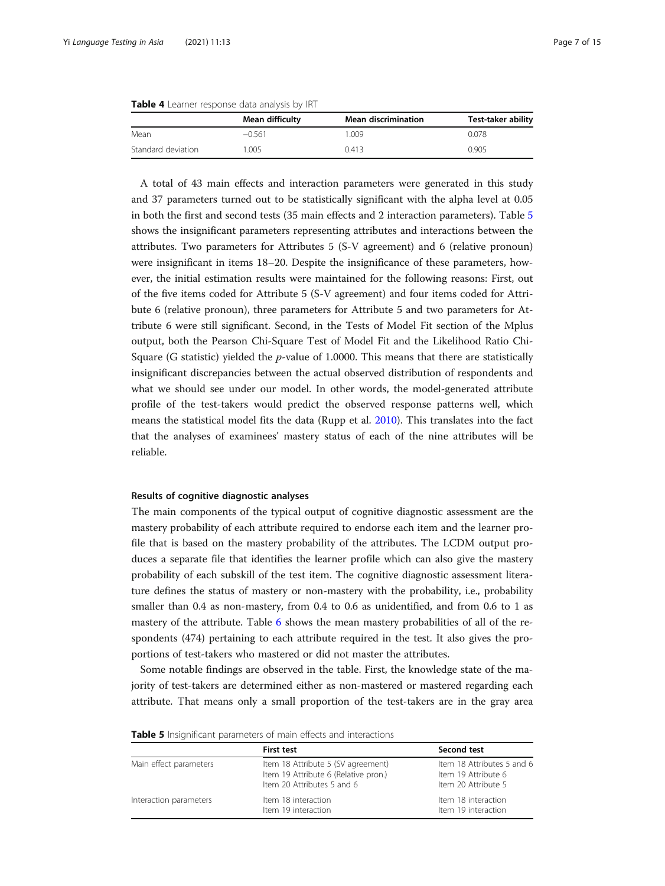|                    | Mean difficulty | <b>Mean discrimination</b> | <b>Test-taker ability</b> |
|--------------------|-----------------|----------------------------|---------------------------|
| Mean               | $-0.561$        | .009                       | 0.078                     |
| Standard deviation | $^{\circ}.005$  | 0.413                      | 0.905                     |

<span id="page-6-0"></span>Table 4 Learner response data analysis by IRT

A total of 43 main effects and interaction parameters were generated in this study and 37 parameters turned out to be statistically significant with the alpha level at 0.05 in both the first and second tests (35 main effects and 2 interaction parameters). Table 5 shows the insignificant parameters representing attributes and interactions between the attributes. Two parameters for Attributes 5 (S-V agreement) and 6 (relative pronoun) were insignificant in items 18–20. Despite the insignificance of these parameters, however, the initial estimation results were maintained for the following reasons: First, out of the five items coded for Attribute 5 (S-V agreement) and four items coded for Attribute 6 (relative pronoun), three parameters for Attribute 5 and two parameters for Attribute 6 were still significant. Second, in the Tests of Model Fit section of the Mplus output, both the Pearson Chi-Square Test of Model Fit and the Likelihood Ratio Chi-Square (G statistic) yielded the  $p$ -value of 1.0000. This means that there are statistically insignificant discrepancies between the actual observed distribution of respondents and what we should see under our model. In other words, the model-generated attribute profile of the test-takers would predict the observed response patterns well, which means the statistical model fits the data (Rupp et al. [2010\)](#page-14-0). This translates into the fact that the analyses of examinees' mastery status of each of the nine attributes will be reliable.

# Results of cognitive diagnostic analyses

The main components of the typical output of cognitive diagnostic assessment are the mastery probability of each attribute required to endorse each item and the learner profile that is based on the mastery probability of the attributes. The LCDM output produces a separate file that identifies the learner profile which can also give the mastery probability of each subskill of the test item. The cognitive diagnostic assessment literature defines the status of mastery or non-mastery with the probability, i.e., probability smaller than 0.4 as non-mastery, from 0.4 to 0.6 as unidentified, and from 0.6 to 1 as mastery of the attribute. Table [6](#page-7-0) shows the mean mastery probabilities of all of the respondents (474) pertaining to each attribute required in the test. It also gives the proportions of test-takers who mastered or did not master the attributes.

Some notable findings are observed in the table. First, the knowledge state of the majority of test-takers are determined either as non-mastered or mastered regarding each attribute. That means only a small proportion of the test-takers are in the gray area

|                        | <b>First test</b>                                                                                        | Second test                                                              |
|------------------------|----------------------------------------------------------------------------------------------------------|--------------------------------------------------------------------------|
| Main effect parameters | Item 18 Attribute 5 (SV agreement)<br>Item 19 Attribute 6 (Relative pron.)<br>Item 20 Attributes 5 and 6 | Item 18 Attributes 5 and 6<br>Item 19 Attribute 6<br>Item 20 Attribute 5 |
| Interaction parameters | Item 18 interaction<br>Item 19 interaction                                                               | Item 18 interaction<br>Item 19 interaction                               |

Table 5 Insignificant parameters of main effects and interactions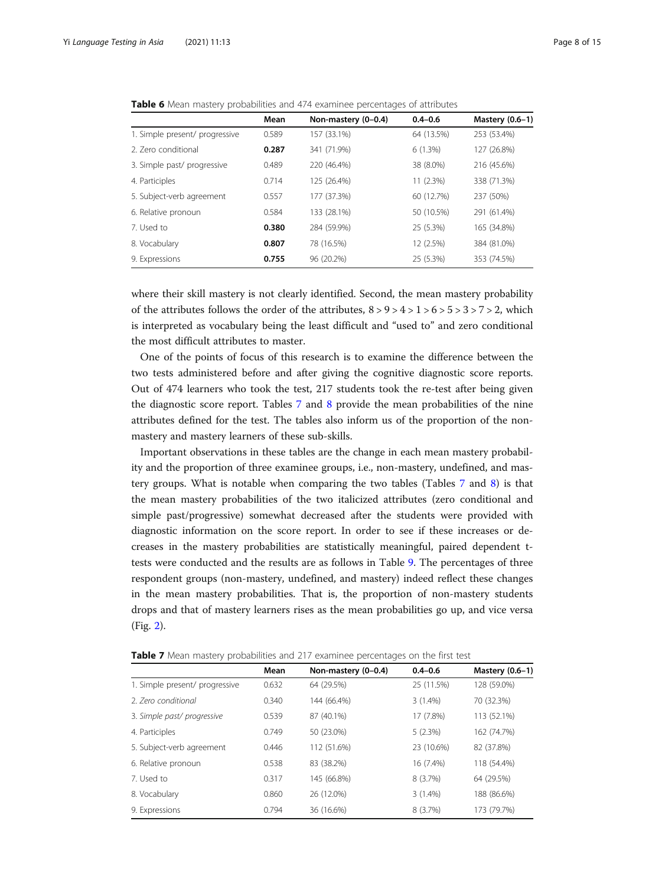|                                | Mean  | Non-mastery (0-0.4) | $0.4 - 0.6$ | Mastery (0.6-1) |
|--------------------------------|-------|---------------------|-------------|-----------------|
| 1. Simple present/ progressive | 0.589 | 157 (33.1%)         | 64 (13.5%)  | 253 (53.4%)     |
| 2. Zero conditional            | 0.287 | 341 (71.9%)         | 6(1.3%)     | 127 (26.8%)     |
| 3. Simple past/ progressive    | 0.489 | 220 (46.4%)         | 38 (8.0%)   | 216 (45.6%)     |
| 4. Participles                 | 0.714 | 125 (26.4%)         | 11 (2.3%)   | 338 (71.3%)     |
| 5. Subject-verb agreement      | 0.557 | 177 (37.3%)         | 60 (12.7%)  | 237 (50%)       |
| 6. Relative pronoun            | 0.584 | 133 (28.1%)         | 50 (10.5%)  | 291 (61.4%)     |
| 7. Used to                     | 0.380 | 284 (59.9%)         | 25 (5.3%)   | 165 (34.8%)     |
| 8. Vocabulary                  | 0.807 | 78 (16.5%)          | 12 (2.5%)   | 384 (81.0%)     |
| 9. Expressions                 | 0.755 | 96 (20.2%)          | 25 (5.3%)   | 353 (74.5%)     |

<span id="page-7-0"></span>Table 6 Mean mastery probabilities and 474 examinee percentages of attributes

where their skill mastery is not clearly identified. Second, the mean mastery probability of the attributes follows the order of the attributes,  $8 > 9 > 4 > 1 > 6 > 5 > 3 > 7 > 2$ , which is interpreted as vocabulary being the least difficult and "used to" and zero conditional the most difficult attributes to master.

One of the points of focus of this research is to examine the difference between the two tests administered before and after giving the cognitive diagnostic score reports. Out of 474 learners who took the test, 217 students took the re-test after being given the diagnostic score report. Tables 7 and [8](#page-8-0) provide the mean probabilities of the nine attributes defined for the test. The tables also inform us of the proportion of the nonmastery and mastery learners of these sub-skills.

Important observations in these tables are the change in each mean mastery probability and the proportion of three examinee groups, i.e., non-mastery, undefined, and mastery groups. What is notable when comparing the two tables (Tables 7 and [8](#page-8-0)) is that the mean mastery probabilities of the two italicized attributes (zero conditional and simple past/progressive) somewhat decreased after the students were provided with diagnostic information on the score report. In order to see if these increases or decreases in the mastery probabilities are statistically meaningful, paired dependent ttests were conducted and the results are as follows in Table [9](#page-8-0). The percentages of three respondent groups (non-mastery, undefined, and mastery) indeed reflect these changes in the mean mastery probabilities. That is, the proportion of non-mastery students drops and that of mastery learners rises as the mean probabilities go up, and vice versa (Fig. [2](#page-9-0)).

|                                | Mean  | Non-mastery (0-0.4) | $0.4 - 0.6$ | Mastery (0.6-1) |
|--------------------------------|-------|---------------------|-------------|-----------------|
| 1. Simple present/ progressive | 0.632 | 64 (29.5%)          | 25 (11.5%)  | 128 (59.0%)     |
| 2. Zero conditional            | 0.340 | 144 (66.4%)         | 3(1.4%)     | 70 (32.3%)      |
| 3. Simple past/ progressive    | 0.539 | 87 (40.1%)          | 17 (7.8%)   | 113 (52.1%)     |
| 4. Participles                 | 0.749 | 50 (23.0%)          | 5(2.3%)     | 162 (74.7%)     |
| 5. Subject-verb agreement      | 0.446 | 112 (51.6%)         | 23 (10.6%)  | 82 (37.8%)      |
| 6. Relative pronoun            | 0.538 | 83 (38.2%)          | 16 (7.4%)   | 118 (54.4%)     |
| 7. Used to                     | 0.317 | 145 (66.8%)         | 8 (3.7%)    | 64 (29.5%)      |
| 8. Vocabulary                  | 0.860 | 26 (12.0%)          | 3(1.4%)     | 188 (86.6%)     |
| 9. Expressions                 | 0.794 | 36 (16.6%)          | 8 (3.7%)    | 173 (79.7%)     |

**Table 7** Mean mastery probabilities and 217 examinee percentages on the first test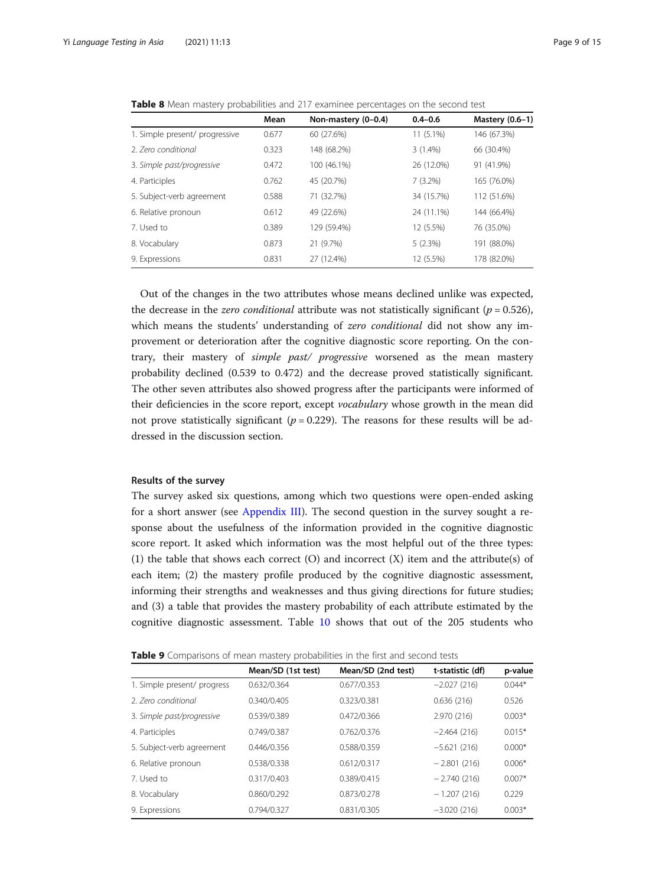| Mean  | Non-mastery (0-0.4) | $0.4 - 0.6$ | Mastery (0.6-1) |
|-------|---------------------|-------------|-----------------|
| 0.677 | 60 (27.6%)          | $11(5.1\%)$ | 146 (67.3%)     |
| 0.323 | 148 (68.2%)         | $3(1.4\%)$  | 66 (30.4%)      |
| 0.472 | 100 (46.1%)         | 26 (12.0%)  | 91 (41.9%)      |
| 0.762 | 45 (20.7%)          | 7(3.2%)     | 165 (76.0%)     |
| 0.588 | 71 (32.7%)          | 34 (15.7%)  | 112 (51.6%)     |
| 0.612 | 49 (22.6%)          | 24 (11.1%)  | 144 (66.4%)     |
| 0.389 | 129 (59.4%)         | 12 (5.5%)   | 76 (35.0%)      |
| 0.873 | 21 (9.7%)           | 5(2.3%)     | 191 (88.0%)     |
| 0.831 | 27 (12.4%)          | 12 (5.5%)   | 178 (82.0%)     |
|       |                     |             |                 |

<span id="page-8-0"></span>**Table 8** Mean mastery probabilities and 217 examinee percentages on the second test

Out of the changes in the two attributes whose means declined unlike was expected, the decrease in the *zero conditional* attribute was not statistically significant ( $p = 0.526$ ), which means the students' understanding of zero conditional did not show any improvement or deterioration after the cognitive diagnostic score reporting. On the contrary, their mastery of simple past/ progressive worsened as the mean mastery probability declined (0.539 to 0.472) and the decrease proved statistically significant. The other seven attributes also showed progress after the participants were informed of their deficiencies in the score report, except vocabulary whose growth in the mean did not prove statistically significant ( $p = 0.229$ ). The reasons for these results will be addressed in the discussion section.

# Results of the survey

The survey asked six questions, among which two questions were open-ended asking for a short answer (see [Appendix III](#page-13-0)). The second question in the survey sought a response about the usefulness of the information provided in the cognitive diagnostic score report. It asked which information was the most helpful out of the three types: (1) the table that shows each correct (O) and incorrect (X) item and the attribute(s) of each item; (2) the mastery profile produced by the cognitive diagnostic assessment, informing their strengths and weaknesses and thus giving directions for future studies; and (3) a table that provides the mastery probability of each attribute estimated by the cognitive diagnostic assessment. Table [10](#page-9-0) shows that out of the 205 students who

| Table 9 Comparisons of mean mastery probabilities in the first and second tests |  |  |
|---------------------------------------------------------------------------------|--|--|
|---------------------------------------------------------------------------------|--|--|

|                             | Mean/SD (1st test) | Mean/SD (2nd test) | t-statistic (df) | p-value  |
|-----------------------------|--------------------|--------------------|------------------|----------|
| 1. Simple present/ progress | 0.632/0.364        | 0.677/0.353        | $-2.027(216)$    | $0.044*$ |
| 2. Zero conditional         | 0.340/0.405        | 0.323/0.381        | 0.636(216)       | 0.526    |
| 3. Simple past/progressive  | 0.539/0.389        | 0.472/0.366        | 2.970 (216)      | $0.003*$ |
| 4. Participles              | 0.749/0.387        | 0.762/0.376        | $-2.464(216)$    | $0.015*$ |
| 5. Subject-verb agreement   | 0.446/0.356        | 0.588/0.359        | $-5.621(216)$    | $0.000*$ |
| 6. Relative pronoun         | 0.538/0.338        | 0.612/0.317        | $-2.801(216)$    | $0.006*$ |
| 7. Used to                  | 0.317/0.403        | 0.389/0.415        | $-2.740(216)$    | $0.007*$ |
| 8. Vocabulary               | 0.860/0.292        | 0.873/0.278        | $-1.207(216)$    | 0.229    |
| 9. Expressions              | 0.794/0.327        | 0.831/0.305        | $-3.020(216)$    | $0.003*$ |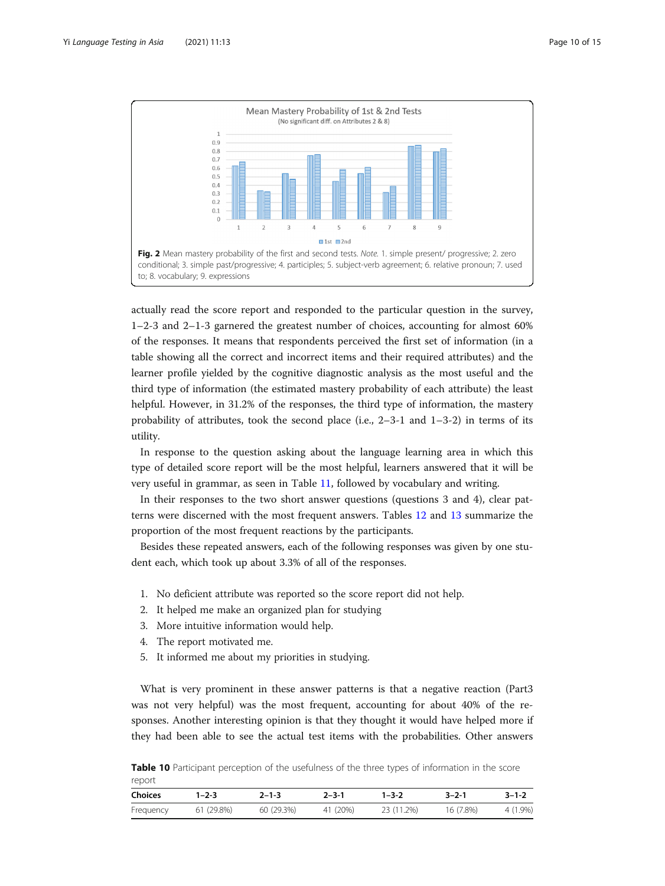<span id="page-9-0"></span>

actually read the score report and responded to the particular question in the survey, 1–2-3 and 2–1-3 garnered the greatest number of choices, accounting for almost 60% of the responses. It means that respondents perceived the first set of information (in a table showing all the correct and incorrect items and their required attributes) and the learner profile yielded by the cognitive diagnostic analysis as the most useful and the third type of information (the estimated mastery probability of each attribute) the least helpful. However, in 31.2% of the responses, the third type of information, the mastery probability of attributes, took the second place (i.e.,  $2-3-1$  and  $1-3-2$ ) in terms of its utility.

In response to the question asking about the language learning area in which this type of detailed score report will be the most helpful, learners answered that it will be very useful in grammar, as seen in Table [11,](#page-10-0) followed by vocabulary and writing.

In their responses to the two short answer questions (questions 3 and 4), clear patterns were discerned with the most frequent answers. Tables [12](#page-10-0) and [13](#page-11-0) summarize the proportion of the most frequent reactions by the participants.

Besides these repeated answers, each of the following responses was given by one student each, which took up about 3.3% of all of the responses.

- 1. No deficient attribute was reported so the score report did not help.
- 2. It helped me make an organized plan for studying
- 3. More intuitive information would help.
- 4. The report motivated me.
- 5. It informed me about my priorities in studying.

What is very prominent in these answer patterns is that a negative reaction (Part3 was not very helpful) was the most frequent, accounting for about 40% of the responses. Another interesting opinion is that they thought it would have helped more if they had been able to see the actual test items with the probabilities. Other answers

Table 10 Participant perception of the usefulness of the three types of information in the score report

| Choices              | $1 - 2 - 3$ | $2 - 1 - 3$ | $2 - 3 - 1$ | $1 - 3 - 2$ | $3 - 2 - 1$ | $3 - 1 - 2$ |
|----------------------|-------------|-------------|-------------|-------------|-------------|-------------|
| Frequency 61 (29.8%) |             | 60 (29.3%)  | 41 (20%)    | 23 (11.2%)  | 16 (7.8%)   | 4 (1.9%)    |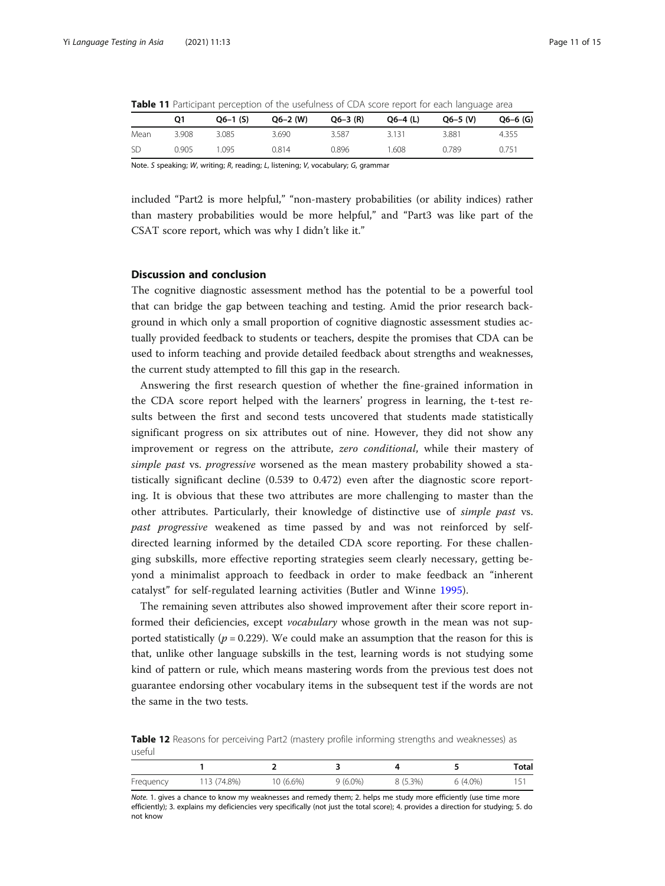<span id="page-10-0"></span>

| <b>Table 11</b> Participant perception of the usefulness of CDA score report for each language area |  |  |
|-----------------------------------------------------------------------------------------------------|--|--|
|-----------------------------------------------------------------------------------------------------|--|--|

|           | Ο1    | $Q6-1$ (S) | $Q6 - 2$ (W) | $Q6 - 3$ (R) | $Q6-4$ (L) | $Q6 - 5$ (V) | $Q6 - 6$ (G) |
|-----------|-------|------------|--------------|--------------|------------|--------------|--------------|
| Mean      | 3.908 | 3.085      | 3.690        | 3.587        | 3.131      | 3.881        | 4.355        |
| <b>SD</b> | 0.905 | ' 095      | 0.814        | 0.896        | 1.608      | 0.789        | 0.751        |

Note. S speaking; W, writing; R, reading; L, listening; V, vocabulary; G, grammar

included "Part2 is more helpful," "non-mastery probabilities (or ability indices) rather than mastery probabilities would be more helpful," and "Part3 was like part of the CSAT score report, which was why I didn't like it."

# Discussion and conclusion

The cognitive diagnostic assessment method has the potential to be a powerful tool that can bridge the gap between teaching and testing. Amid the prior research background in which only a small proportion of cognitive diagnostic assessment studies actually provided feedback to students or teachers, despite the promises that CDA can be used to inform teaching and provide detailed feedback about strengths and weaknesses, the current study attempted to fill this gap in the research.

Answering the first research question of whether the fine-grained information in the CDA score report helped with the learners' progress in learning, the t-test results between the first and second tests uncovered that students made statistically significant progress on six attributes out of nine. However, they did not show any improvement or regress on the attribute, *zero conditional*, while their mastery of simple past vs. progressive worsened as the mean mastery probability showed a statistically significant decline (0.539 to 0.472) even after the diagnostic score reporting. It is obvious that these two attributes are more challenging to master than the other attributes. Particularly, their knowledge of distinctive use of simple past vs. past progressive weakened as time passed by and was not reinforced by selfdirected learning informed by the detailed CDA score reporting. For these challenging subskills, more effective reporting strategies seem clearly necessary, getting beyond a minimalist approach to feedback in order to make feedback an "inherent catalyst" for self-regulated learning activities (Butler and Winne [1995](#page-13-0)).

The remaining seven attributes also showed improvement after their score report informed their deficiencies, except vocabulary whose growth in the mean was not supported statistically ( $p = 0.229$ ). We could make an assumption that the reason for this is that, unlike other language subskills in the test, learning words is not studying some kind of pattern or rule, which means mastering words from the previous test does not guarantee endorsing other vocabulary items in the subsequent test if the words are not the same in the two tests.

Table 12 Reasons for perceiving Part2 (mastery profile informing strengths and weaknesses) as useful

|           |        |           |            |           |            | <b>Total</b> |
|-----------|--------|-----------|------------|-----------|------------|--------------|
| Frequency | 74.8%) | 10 (6.6%) | $9(6.0\%)$ | $(5.3\%)$ | $6(4.0\%)$ |              |

Note. 1. gives a chance to know my weaknesses and remedy them; 2. helps me study more efficiently (use time more efficiently); 3. explains my deficiencies very specifically (not just the total score); 4. provides a direction for studying; 5. do not know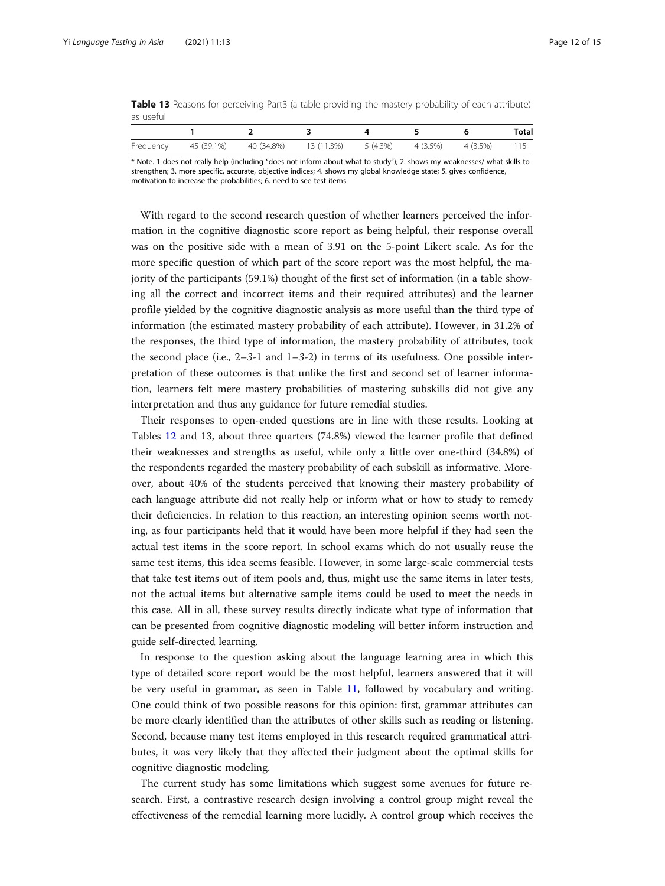<span id="page-11-0"></span>Table 13 Reasons for perceiving Part3 (a table providing the mastery probability of each attribute) as useful

|           |            |            |            |                   |          | Total |
|-----------|------------|------------|------------|-------------------|----------|-------|
| Frequency | 45 (39.1%) | 40 (34.8%) | 13 (11.3%) | 5 (4.3%) 4 (3.5%) | 4 (3.5%) |       |

\* Note. 1 does not really help (including "does not inform about what to study"); 2. shows my weaknesses/ what skills to strengthen; 3. more specific, accurate, objective indices; 4. shows my global knowledge state; 5. gives confidence, motivation to increase the probabilities; 6. need to see test items

With regard to the second research question of whether learners perceived the information in the cognitive diagnostic score report as being helpful, their response overall was on the positive side with a mean of 3.91 on the 5-point Likert scale. As for the more specific question of which part of the score report was the most helpful, the majority of the participants (59.1%) thought of the first set of information (in a table showing all the correct and incorrect items and their required attributes) and the learner profile yielded by the cognitive diagnostic analysis as more useful than the third type of information (the estimated mastery probability of each attribute). However, in 31.2% of the responses, the third type of information, the mastery probability of attributes, took the second place (i.e.,  $2-3-1$  and  $1-3-2$ ) in terms of its usefulness. One possible interpretation of these outcomes is that unlike the first and second set of learner information, learners felt mere mastery probabilities of mastering subskills did not give any interpretation and thus any guidance for future remedial studies.

Their responses to open-ended questions are in line with these results. Looking at Tables [12](#page-10-0) and 13, about three quarters (74.8%) viewed the learner profile that defined their weaknesses and strengths as useful, while only a little over one-third (34.8%) of the respondents regarded the mastery probability of each subskill as informative. Moreover, about 40% of the students perceived that knowing their mastery probability of each language attribute did not really help or inform what or how to study to remedy their deficiencies. In relation to this reaction, an interesting opinion seems worth noting, as four participants held that it would have been more helpful if they had seen the actual test items in the score report. In school exams which do not usually reuse the same test items, this idea seems feasible. However, in some large-scale commercial tests that take test items out of item pools and, thus, might use the same items in later tests, not the actual items but alternative sample items could be used to meet the needs in this case. All in all, these survey results directly indicate what type of information that can be presented from cognitive diagnostic modeling will better inform instruction and guide self-directed learning.

In response to the question asking about the language learning area in which this type of detailed score report would be the most helpful, learners answered that it will be very useful in grammar, as seen in Table [11](#page-10-0), followed by vocabulary and writing. One could think of two possible reasons for this opinion: first, grammar attributes can be more clearly identified than the attributes of other skills such as reading or listening. Second, because many test items employed in this research required grammatical attributes, it was very likely that they affected their judgment about the optimal skills for cognitive diagnostic modeling.

The current study has some limitations which suggest some avenues for future research. First, a contrastive research design involving a control group might reveal the effectiveness of the remedial learning more lucidly. A control group which receives the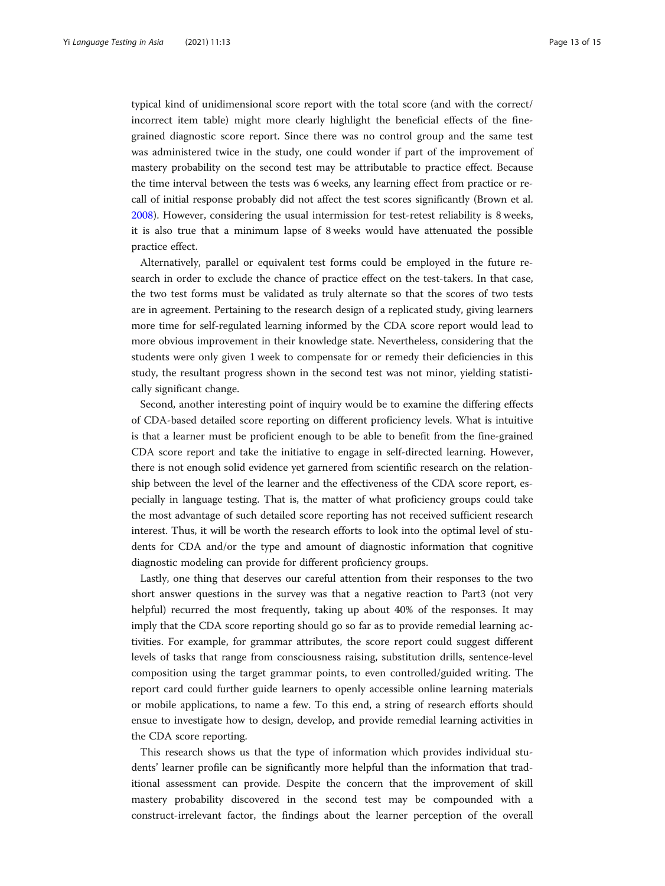typical kind of unidimensional score report with the total score (and with the correct/ incorrect item table) might more clearly highlight the beneficial effects of the finegrained diagnostic score report. Since there was no control group and the same test was administered twice in the study, one could wonder if part of the improvement of mastery probability on the second test may be attributable to practice effect. Because the time interval between the tests was 6 weeks, any learning effect from practice or recall of initial response probably did not affect the test scores significantly (Brown et al. [2008](#page-13-0)). However, considering the usual intermission for test-retest reliability is 8 weeks, it is also true that a minimum lapse of 8 weeks would have attenuated the possible practice effect.

Alternatively, parallel or equivalent test forms could be employed in the future research in order to exclude the chance of practice effect on the test-takers. In that case, the two test forms must be validated as truly alternate so that the scores of two tests are in agreement. Pertaining to the research design of a replicated study, giving learners more time for self-regulated learning informed by the CDA score report would lead to more obvious improvement in their knowledge state. Nevertheless, considering that the students were only given 1 week to compensate for or remedy their deficiencies in this study, the resultant progress shown in the second test was not minor, yielding statistically significant change.

Second, another interesting point of inquiry would be to examine the differing effects of CDA-based detailed score reporting on different proficiency levels. What is intuitive is that a learner must be proficient enough to be able to benefit from the fine-grained CDA score report and take the initiative to engage in self-directed learning. However, there is not enough solid evidence yet garnered from scientific research on the relationship between the level of the learner and the effectiveness of the CDA score report, especially in language testing. That is, the matter of what proficiency groups could take the most advantage of such detailed score reporting has not received sufficient research interest. Thus, it will be worth the research efforts to look into the optimal level of students for CDA and/or the type and amount of diagnostic information that cognitive diagnostic modeling can provide for different proficiency groups.

Lastly, one thing that deserves our careful attention from their responses to the two short answer questions in the survey was that a negative reaction to Part3 (not very helpful) recurred the most frequently, taking up about 40% of the responses. It may imply that the CDA score reporting should go so far as to provide remedial learning activities. For example, for grammar attributes, the score report could suggest different levels of tasks that range from consciousness raising, substitution drills, sentence-level composition using the target grammar points, to even controlled/guided writing. The report card could further guide learners to openly accessible online learning materials or mobile applications, to name a few. To this end, a string of research efforts should ensue to investigate how to design, develop, and provide remedial learning activities in the CDA score reporting.

This research shows us that the type of information which provides individual students' learner profile can be significantly more helpful than the information that traditional assessment can provide. Despite the concern that the improvement of skill mastery probability discovered in the second test may be compounded with a construct-irrelevant factor, the findings about the learner perception of the overall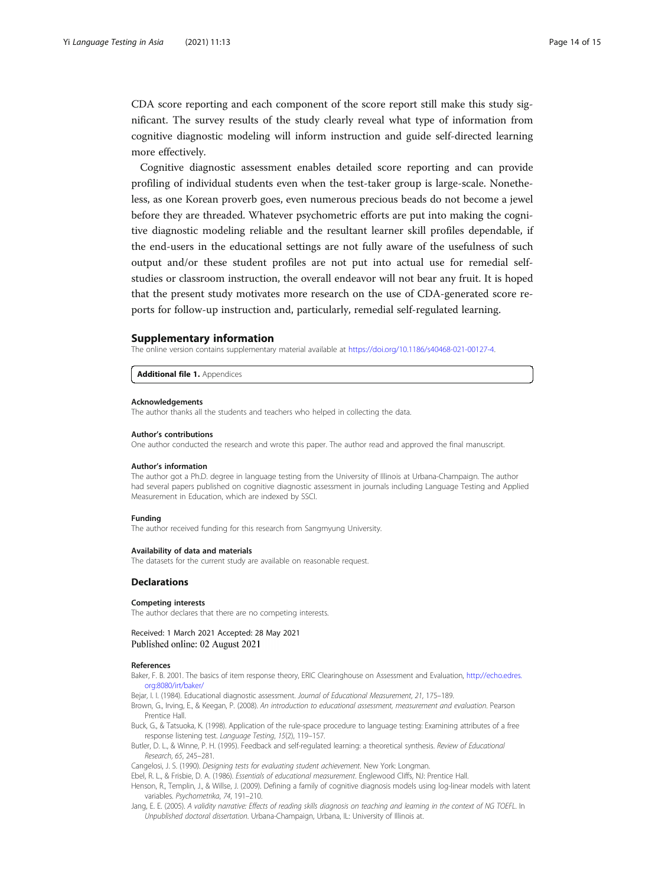<span id="page-13-0"></span>CDA score reporting and each component of the score report still make this study significant. The survey results of the study clearly reveal what type of information from cognitive diagnostic modeling will inform instruction and guide self-directed learning more effectively.

Cognitive diagnostic assessment enables detailed score reporting and can provide profiling of individual students even when the test-taker group is large-scale. Nonetheless, as one Korean proverb goes, even numerous precious beads do not become a jewel before they are threaded. Whatever psychometric efforts are put into making the cognitive diagnostic modeling reliable and the resultant learner skill profiles dependable, if the end-users in the educational settings are not fully aware of the usefulness of such output and/or these student profiles are not put into actual use for remedial selfstudies or classroom instruction, the overall endeavor will not bear any fruit. It is hoped that the present study motivates more research on the use of CDA-generated score reports for follow-up instruction and, particularly, remedial self-regulated learning.

#### Supplementary information

The online version contains supplementary material available at [https://doi.org/10.1186/s40468-021-00127-4.](https://doi.org/10.1186/s40468-021-00127-4)

Additional file 1. Appendices

#### Acknowledgements

The author thanks all the students and teachers who helped in collecting the data.

#### Author's contributions

One author conducted the research and wrote this paper. The author read and approved the final manuscript.

#### Author's information

The author got a Ph.D. degree in language testing from the University of Illinois at Urbana-Champaign. The author had several papers published on cognitive diagnostic assessment in journals including Language Testing and Applied Measurement in Education, which are indexed by SSCI.

#### Funding

The author received funding for this research from Sangmyung University.

#### Availability of data and materials

The datasets for the current study are available on reasonable request.

#### Declarations

#### Competing interests

The author declares that there are no competing interests.

Received: 1 March 2021 Accepted: 28 May 2021 Published online: 02 August 2021

#### References

Baker, F. B. 2001. The basics of item response theory, ERIC Clearinghouse on Assessment and Evaluation, [http://echo.edres.](http://echo.edres.org:8080/irt/baker/) [org:8080/irt/baker/](http://echo.edres.org:8080/irt/baker/)

Bejar, I. I. (1984). Educational diagnostic assessment. Journal of Educational Measurement, 21, 175–189.

Brown, G., Irving, E., & Keegan, P. (2008). An introduction to educational assessment, measurement and evaluation. Pearson Prentice Hall.

Buck, G., & Tatsuoka, K. (1998). Application of the rule-space procedure to language testing: Examining attributes of a free response listening test. Language Testing, 15(2), 119–157.

Butler, D. L., & Winne, P. H. (1995). Feedback and self-regulated learning: a theoretical synthesis. Review of Educational Research, 65, 245–281.

Cangelosi, J. S. (1990). Designing tests for evaluating student achievement. New York: Longman.

Ebel, R. L., & Frisbie, D. A. (1986). Essentials of educational measurement. Englewood Cliffs, NJ: Prentice Hall.

Henson, R., Templin, J., & Willse, J. (2009). Defining a family of cognitive diagnosis models using log-linear models with latent variables. Psychometrika, 74, 191–210.

Jang, E. E. (2005). A validity narrative: Effects of reading skills diagnosis on teaching and learning in the context of NG TOEFL. In Unpublished doctoral dissertation. Urbana-Champaign, Urbana, IL: University of Illinois at.